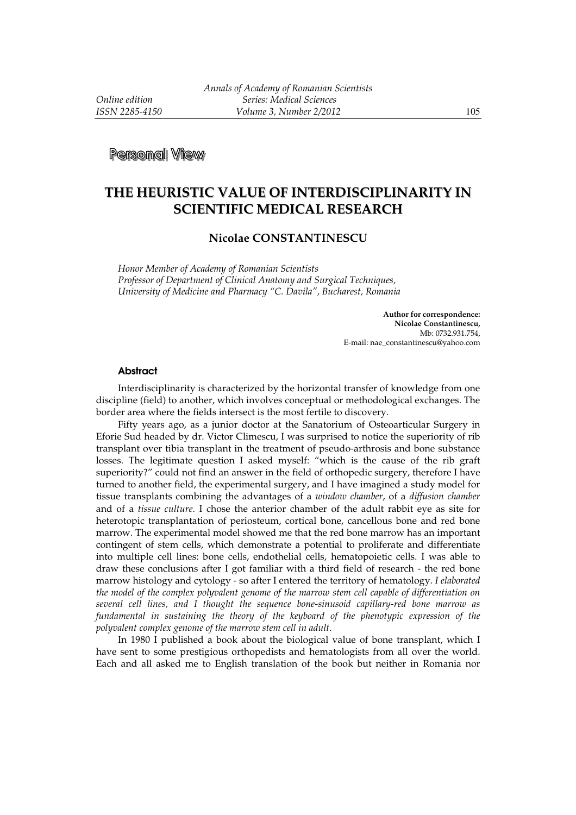**Personal View** 

## **THE HEURISTIC VALUE OF INTERDISCIPLINARITY IN SCIENTIFIC MEDICAL RESEARCH**

## **Nicolae CONSTANTINESCU**

*Honor Member of Academy of Romanian Scientists Professor of Department of Clinical Anatomy and Surgical Techniques, University of Medicine and Pharmacy "C. Davila", Bucharest, Romania* 

> **Author for correspondence: Nicolae Constantinescu,**  Mb: 0732.931.754, E-mail: nae\_constantinescu@yahoo.com

## **Abstract**

Interdisciplinarity is characterized by the horizontal transfer of knowledge from one discipline (field) to another, which involves conceptual or methodological exchanges. The border area where the fields intersect is the most fertile to discovery.

Fifty years ago, as a junior doctor at the Sanatorium of Osteoarticular Surgery in Eforie Sud headed by dr. Victor Climescu, I was surprised to notice the superiority of rib transplant over tibia transplant in the treatment of pseudo-arthrosis and bone substance losses. The legitimate question I asked myself: "which is the cause of the rib graft superiority?" could not find an answer in the field of orthopedic surgery, therefore I have turned to another field, the experimental surgery, and I have imagined a study model for tissue transplants combining the advantages of a *window chamber*, of a *diffusion chamber* and of a *tissue culture*. I chose the anterior chamber of the adult rabbit eye as site for heterotopic transplantation of periosteum, cortical bone, cancellous bone and red bone marrow. The experimental model showed me that the red bone marrow has an important contingent of stem cells, which demonstrate a potential to proliferate and differentiate into multiple cell lines: bone cells, endothelial cells, hematopoietic cells. I was able to draw these conclusions after I got familiar with a third field of research - the red bone marrow histology and cytology - so after I entered the territory of hematology. *I elaborated the model of the complex polyvalent genome of the marrow stem cell capable of differentiation on several cell lines, and I thought the sequence bone-sinusoid capillary-red bone marrow as fundamental in sustaining the theory of the keyboard of the phenotypic expression of the polyvalent complex genome of the marrow stem cell in adult*.

In 1980 I published a book about the biological value of bone transplant, which I have sent to some prestigious orthopedists and hematologists from all over the world. Each and all asked me to English translation of the book but neither in Romania nor